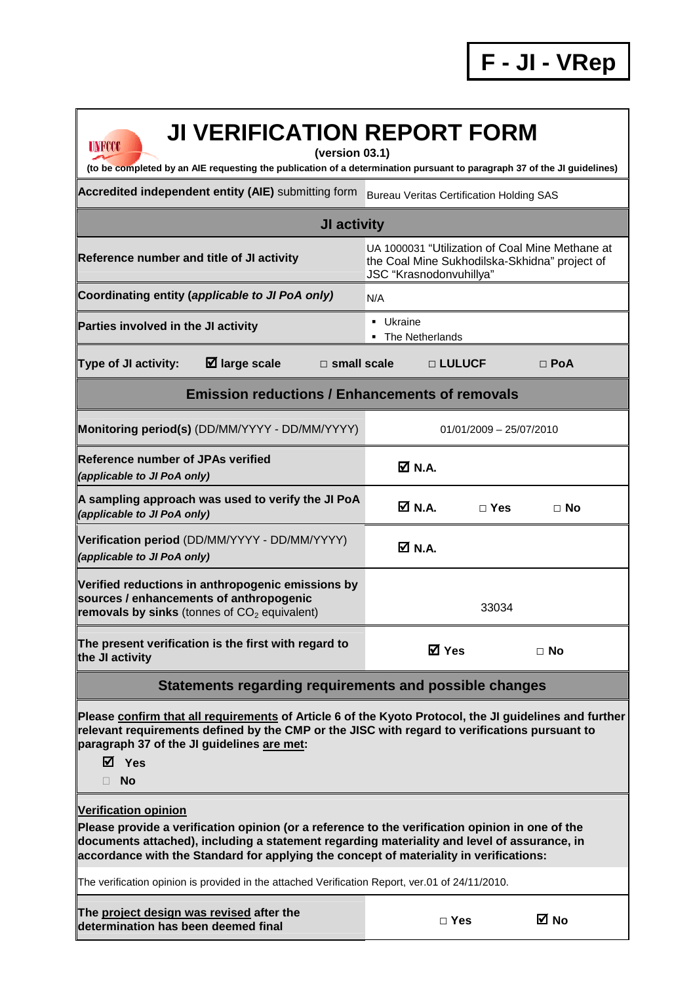## **JI VERIFICATION REPORT FORM**

**(version 03.1)** 

**(to be completed by an AIE requesting the publication of a determination pursuant to paragraph 37 of the JI guidelines)** 

Accredited independent entity (AIE) submitting form Bureau Veritas Certification Holding SAS

**UNFCCC** 

| JI activity                                                                                                                                                                                                                                                                              |                                                                                                                             |  |  |  |  |  |  |  |
|------------------------------------------------------------------------------------------------------------------------------------------------------------------------------------------------------------------------------------------------------------------------------------------|-----------------------------------------------------------------------------------------------------------------------------|--|--|--|--|--|--|--|
| Reference number and title of JI activity                                                                                                                                                                                                                                                | UA 1000031 "Utilization of Coal Mine Methane at<br>the Coal Mine Sukhodilska-Skhidna" project of<br>JSC "Krasnodonvuhillya" |  |  |  |  |  |  |  |
| Coordinating entity (applicable to JI PoA only)                                                                                                                                                                                                                                          | N/A                                                                                                                         |  |  |  |  |  |  |  |
| Parties involved in the JI activity                                                                                                                                                                                                                                                      | • Ukraine<br>• The Netherlands                                                                                              |  |  |  |  |  |  |  |
| <b>Type of JI activity:</b><br>$\boxtimes$ large scale<br>$\square$ small scale                                                                                                                                                                                                          | $\Box$ PoA<br>□ LULUCF                                                                                                      |  |  |  |  |  |  |  |
| <b>Emission reductions / Enhancements of removals</b>                                                                                                                                                                                                                                    |                                                                                                                             |  |  |  |  |  |  |  |
| Monitoring period(s) (DD/MM/YYYY - DD/MM/YYYY)                                                                                                                                                                                                                                           | $01/01/2009 - 25/07/2010$                                                                                                   |  |  |  |  |  |  |  |
| Reference number of JPAs verified<br>(applicable to JI PoA only)                                                                                                                                                                                                                         | ØN.A.                                                                                                                       |  |  |  |  |  |  |  |
| A sampling approach was used to verify the JI PoA<br>(applicable to JI PoA only)                                                                                                                                                                                                         | ØN.A.<br>$\Box$ Yes<br>$\Box$ No                                                                                            |  |  |  |  |  |  |  |
| Verification period (DD/MM/YYYY - DD/MM/YYYY)<br>(applicable to JI PoA only)                                                                                                                                                                                                             | $\boxtimes$ N.A.                                                                                                            |  |  |  |  |  |  |  |
| Verified reductions in anthropogenic emissions by<br>sources / enhancements of anthropogenic<br>removals by sinks (tonnes of $CO2$ equivalent)                                                                                                                                           | 33034                                                                                                                       |  |  |  |  |  |  |  |
| The present verification is the first with regard to<br>the JI activity                                                                                                                                                                                                                  | <b>☑</b> Yes<br>$\Box$ No                                                                                                   |  |  |  |  |  |  |  |
| Statements regarding requirements and possible changes                                                                                                                                                                                                                                   |                                                                                                                             |  |  |  |  |  |  |  |
| Please confirm that all requirements of Article 6 of the Kyoto Protocol, the JI guidelines and further<br>relevant requirements defined by the CMP or the JISC with regard to verifications pursuant to<br>paragraph 37 of the JI guidelines are met:<br>M Yes<br><b>No</b>              |                                                                                                                             |  |  |  |  |  |  |  |
| <b>Verification opinion</b>                                                                                                                                                                                                                                                              |                                                                                                                             |  |  |  |  |  |  |  |
| Please provide a verification opinion (or a reference to the verification opinion in one of the<br>documents attached), including a statement regarding materiality and level of assurance, in<br>accordance with the Standard for applying the concept of materiality in verifications: |                                                                                                                             |  |  |  |  |  |  |  |
| The verification opinion is provided in the attached Verification Report, ver.01 of 24/11/2010.                                                                                                                                                                                          |                                                                                                                             |  |  |  |  |  |  |  |
|                                                                                                                                                                                                                                                                                          |                                                                                                                             |  |  |  |  |  |  |  |

**The project design was revised after the determination has been deemed final** 

|  | ×<br>w<br>۰.<br>v |
|--|-------------------|
|--|-------------------|

**No**